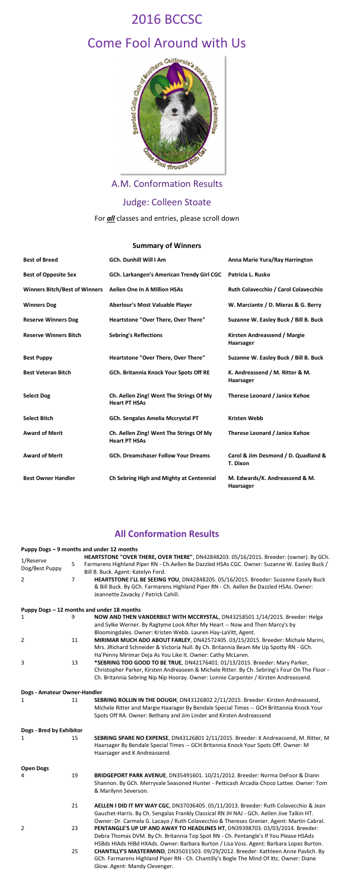

# Come Fool Around with Us

A.M. Conformation Results

# Judge: Colleen Stoate

For *all* classes and entries, please scroll down

### **Summary of Winners**

| <b>Best of Breed</b>                 | <b>GCh. Dunhill Will I Am</b>                                   | Anna Marie Yura/Ray Harrington                  |
|--------------------------------------|-----------------------------------------------------------------|-------------------------------------------------|
| <b>Best of Opposite Sex</b>          | GCh. Larkangen's American Trendy Girl CGC                       | Patricia L. Rusko                               |
| <b>Winners Bitch/Best of Winners</b> | <b>Aellen One In A Million HSAs</b>                             | Ruth Colavecchio / Carol Colavecchio            |
| <b>Winners Dog</b>                   | <b>Aberlour's Most Valuable Player</b>                          | W. Marciante / D. Mieras & G. Berry             |
| <b>Reserve Winners Dog</b>           | Heartstone "Over There, Over There"                             | Suzanne W. Easley Buck / Bill B. Buck           |
| <b>Reserve Winners Bitch</b>         | <b>Sebring's Reflections</b>                                    | Kirsten Andreassend / Margie<br>Haarsager       |
| <b>Best Puppy</b>                    | Heartstone "Over There, Over There"                             | Suzanne W. Easley Buck / Bill B. Buck           |
| <b>Best Veteran Bitch</b>            | GCh. Britannia Knock Your Spots Off RE                          | K. Andreassend / M. Ritter & M.<br>Haarsager    |
| <b>Select Dog</b>                    | Ch. Aellen Zing! Went The Strings Of My<br><b>Heart PT HSAs</b> | <b>Therese Leonard / Janice Kehoe</b>           |
| <b>Select Bitch</b>                  | <b>GCh. Sengalas Amelia Mccrystal PT</b>                        | <b>Kristen Webb</b>                             |
| <b>Award of Merit</b>                | Ch. Aellen Zing! Went The Strings Of My<br><b>Heart PT HSAs</b> | Therese Leonard / Janice Kehoe                  |
| <b>Award of Merit</b>                | <b>GCh. Dreamchaser Follow Your Dreams</b>                      | Carol & Jim Desmond / D. Quadland &<br>T. Dixon |
| <b>Best Owner Handler</b>            | Ch Sebring High and Mighty at Centennial                        | M. Edwards/K. Andreassend & M.<br>Haarsager     |

## **All Conformation Results**

#### **Puppy Dogs – 9 months and under 12 months**

|                              |                | HEARTSTONE "OVER THERE, OVER THERE", DN42848203. 05/16/2015. Breeder: (owner). By GCh.        |
|------------------------------|----------------|-----------------------------------------------------------------------------------------------|
| 1/Reserve                    | 5              | Farmarens Highland Piper RN - Ch.Aellen Be Dazzled HSAs CGC. Owner: Suzanne W. Easley Buck /  |
| Dog/Best Puppy               |                | Bill B. Buck. Agent: Katelyn Ford.                                                            |
| $\overline{2}$               | $\overline{7}$ |                                                                                               |
|                              |                | HEARTSTONE I'LL BE SEEING YOU, DN42848205. 05/16/2015. Breeder: Suzanne Easely Buck           |
|                              |                | & Bill Buck. By GCh. Farmarens Highland Piper RN - Ch. Aellen Be Dazzled HSAs. Owner:         |
|                              |                | Jeannette Zavacky / Patrick Cahill.                                                           |
|                              |                | Puppy Dogs - 12 months and under 18 months                                                    |
| 1                            |                | NOW AND THEN VANDERBILT WITH MCCRYSTAL, DN43258501 1/14/2015. Breeder: Helga                  |
|                              |                | and Sylke Werner. By Ragtyme Look After My Heart -- Now and Then Marcy's by                   |
|                              |                | Bloomingdales. Owner: Kristen Webb. Lauren Hay-LaVitt, Agent.                                 |
| $\overline{2}$               | 11             | MIRIMAR MUCH ADO ABOUT FARLEY, DN42572405. 03/15/2015. Breeder: Michale Marini,               |
|                              |                |                                                                                               |
|                              |                | Mrs. JRichard Schneider & Victoria Null. By Ch. Britannia Beam Me Up Spotty RN - GCh.         |
|                              |                | Ha'Penny Mirimar Deja As You Like It. Owner: Cathy McLaren.                                   |
| 3                            | 13             | *SEBRING TOO GOOD TO BE TRUE, DN42176401. 01/13/2015. Breeder: Mary Parker,                   |
|                              |                | Christopher Parker, Kirsten Andreaseen & Michele Ritter. By Ch. Sebring's Four On The Floor - |
|                              |                | Ch. Britannia Sebring Nip Nip Hooray. Owner: Lonnie Carpenter / Kirsten Andreassend.          |
| Dogs - Amateur Owner-Handler |                |                                                                                               |
| 1                            | 11             | SEBRING ROLLIN IN THE DOUGH, DN43126802 2/11/2015. Breeder: Kirsten Andreassend,              |
|                              |                | Michele Ritter and Margie Haarager By Bendale Special Times -- GCH Brittannia Knock Your      |
|                              |                | Spots Off RA. Owner: Bethany and Jim Linder and Kirsten Andreassend                           |
|                              |                |                                                                                               |
| Dogs - Bred by Exhibitor     |                |                                                                                               |
| 1                            | 15             | SEBRING SPARE NO EXPENSE, DN43126801 2/11/2015. Breeder: K Andreassend, M. Ritter, M          |
|                              |                | Haarsager By Bendale Special Times -- GCH Britannia Knock Your Spots Off. Owner: M            |
|                              |                | Haarsager and K Andreassend.                                                                  |
|                              |                |                                                                                               |
| <b>Open Dogs</b>             |                |                                                                                               |
| 4                            | 19             | BRIDGEPORT PARK AVENUE, DN35491601. 10/21/2012. Breeder: Norma DeFoor & Diann                 |
|                              |                | Shannon. By GCh. Merryvale Seasoned Hunter - Petticash Arcadia Choco Lattee. Owner: Tom       |
|                              |                | & Marilynn Severson.                                                                          |
|                              | 21             | AELLEN I DID IT MY WAY CGC, DN37036405. 05/11/2013. Breeder: Ruth Colavecchio & Jean          |
|                              |                | Gauchet-Harris. By Ch. Sengalas Frankly Classical RN JH NAJ - GCh. Aellen Jive Talkin HT.     |
|                              |                | Owner: Dr. Carmela G. Lacayo / Ruth Colavecchio & Thereses Grenier. Agent: Martin Cabral.     |
| $\overline{2}$               | 23             | PENTANGLE'S UP UP AND AWAY TO HEADLINES HT, DN39398703. 03/03/2014. Breeder:                  |
|                              |                | Debra Thomas DVM. By Ch. Britannia Top Spot RN - Ch. Pentangle's If You Please HSAds          |
|                              |                | HSBds HIAds HIBd HXAds. Owner: Barbara Burton / Lisa Voss. Agent: Barbara Lopez Burton.       |
|                              | 25             | CHANTILLY'S MASTERMIND, DN35031503. 09/29/2012. Breeder: Kathleen Anne Pavlich. By            |
|                              |                | GCh. Farmarens Highland Piper RN - Ch. Chantilly's Bogle The Mind Of Xtc. Owner: Diane        |
|                              |                |                                                                                               |

Glow. Agent: Mandy Clevenger.